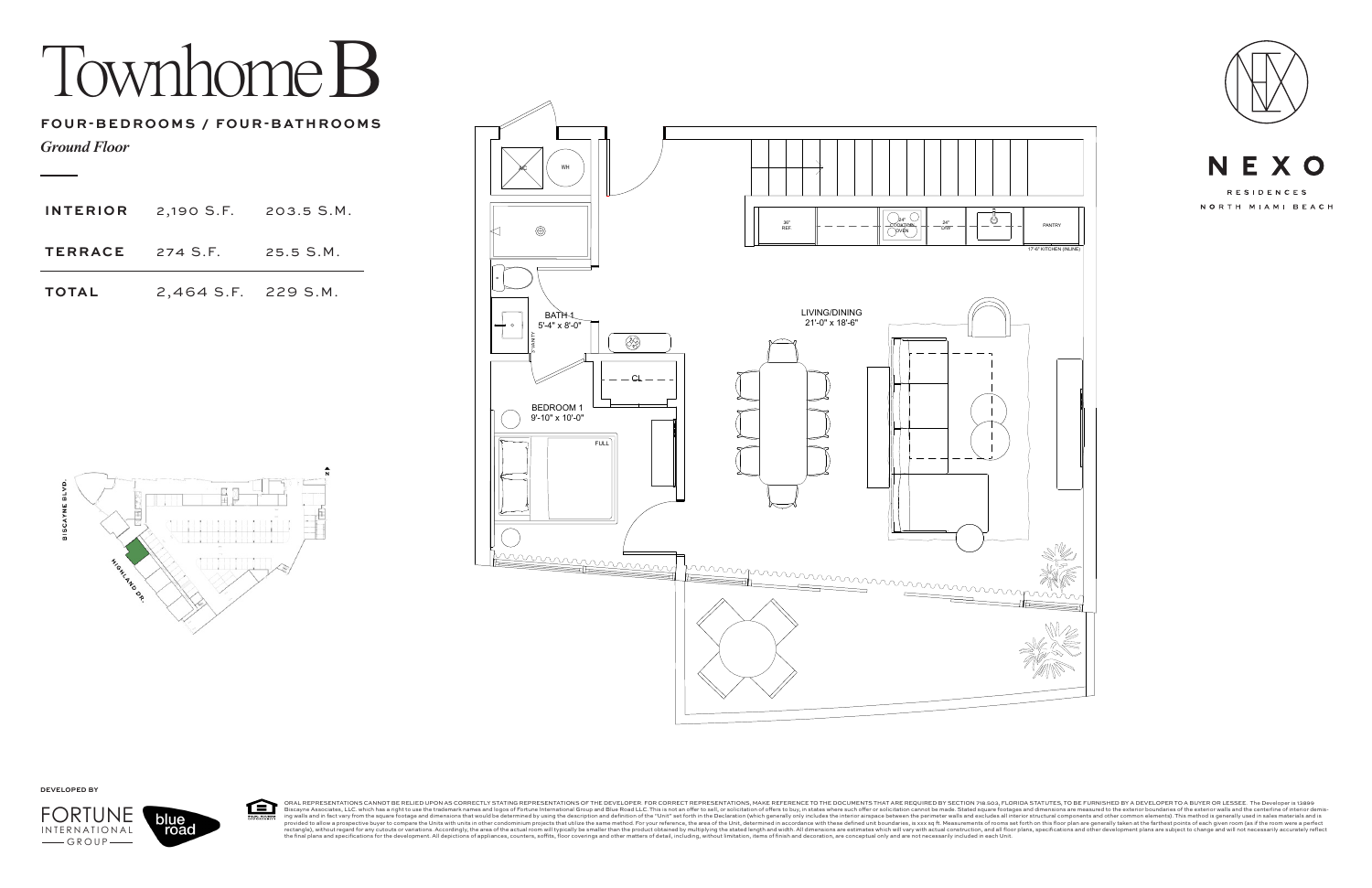## Townhome B



ORAL REPRESENTATIONS CANNOT BE RELIED UPON AS CORRECTLY STATING REPRESENTATIONS OF THE DEVELOPER. FOR CORRECT REPRESENTATIONS, MAKE REFERENCE TO THE DOCUMENTS THAT ARE REQUIRED BY SECTION 718.503, FLORIDA STATUTES, TO BE F 臼 Bisqueme and infast a relative these aright to use the trademark names and logos of Fortune International Group will typically be same from the signes of the exter investors. According the description of the "Unit" set of





**DEVELOPED BY**

*Ground Floor*

## **FOUR-BEDROOMS / FOUR-BATHROOMS**



| <b>INTERIOR</b>         | 2,190 S.F. 203.5 S.M. |           |
|-------------------------|-----------------------|-----------|
| <b>TERRACE</b> 274 S.F. |                       | 25.5 S.M. |
| <b>TOTAL</b>            | 2,464 S.F. 229 S.M.   |           |

![](_page_0_Figure_4.jpeg)

road